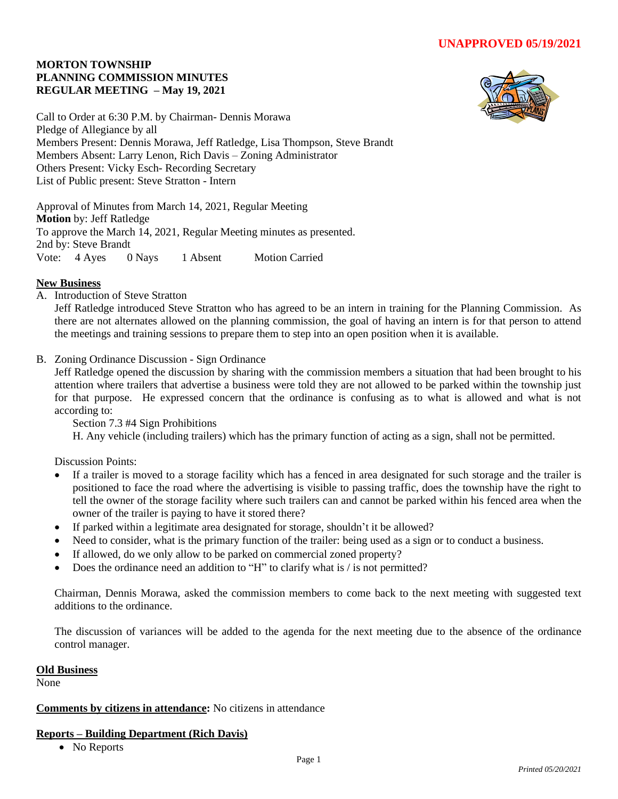## **MORTON TOWNSHIP PLANNING COMMISSION MINUTES REGULAR MEETING – May 19, 2021**



Call to Order at 6:30 P.M. by Chairman- Dennis Morawa Pledge of Allegiance by all Members Present: Dennis Morawa, Jeff Ratledge, Lisa Thompson, Steve Brandt Members Absent: Larry Lenon, Rich Davis – Zoning Administrator Others Present: Vicky Esch- Recording Secretary List of Public present: Steve Stratton - Intern

Approval of Minutes from March 14, 2021, Regular Meeting **Motion** by: Jeff Ratledge To approve the March 14, 2021, Regular Meeting minutes as presented. 2nd by: Steve Brandt Vote: 4 Ayes 0 Nays 1 Absent Motion Carried

## **New Business**

A. Introduction of Steve Stratton

Jeff Ratledge introduced Steve Stratton who has agreed to be an intern in training for the Planning Commission. As there are not alternates allowed on the planning commission, the goal of having an intern is for that person to attend the meetings and training sessions to prepare them to step into an open position when it is available.

B. Zoning Ordinance Discussion - Sign Ordinance

Jeff Ratledge opened the discussion by sharing with the commission members a situation that had been brought to his attention where trailers that advertise a business were told they are not allowed to be parked within the township just for that purpose. He expressed concern that the ordinance is confusing as to what is allowed and what is not according to:

Section 7.3 #4 Sign Prohibitions

H. Any vehicle (including trailers) which has the primary function of acting as a sign, shall not be permitted.

Discussion Points:

- If a trailer is moved to a storage facility which has a fenced in area designated for such storage and the trailer is positioned to face the road where the advertising is visible to passing traffic, does the township have the right to tell the owner of the storage facility where such trailers can and cannot be parked within his fenced area when the owner of the trailer is paying to have it stored there?
- If parked within a legitimate area designated for storage, shouldn't it be allowed?
- Need to consider, what is the primary function of the trailer: being used as a sign or to conduct a business.
- If allowed, do we only allow to be parked on commercial zoned property?
- Does the ordinance need an addition to "H" to clarify what is / is not permitted?

Chairman, Dennis Morawa, asked the commission members to come back to the next meeting with suggested text additions to the ordinance.

The discussion of variances will be added to the agenda for the next meeting due to the absence of the ordinance control manager.

#### **Old Business**

None

#### **Comments by citizens in attendance:** No citizens in attendance

#### **Reports – Building Department (Rich Davis)**

• No Reports